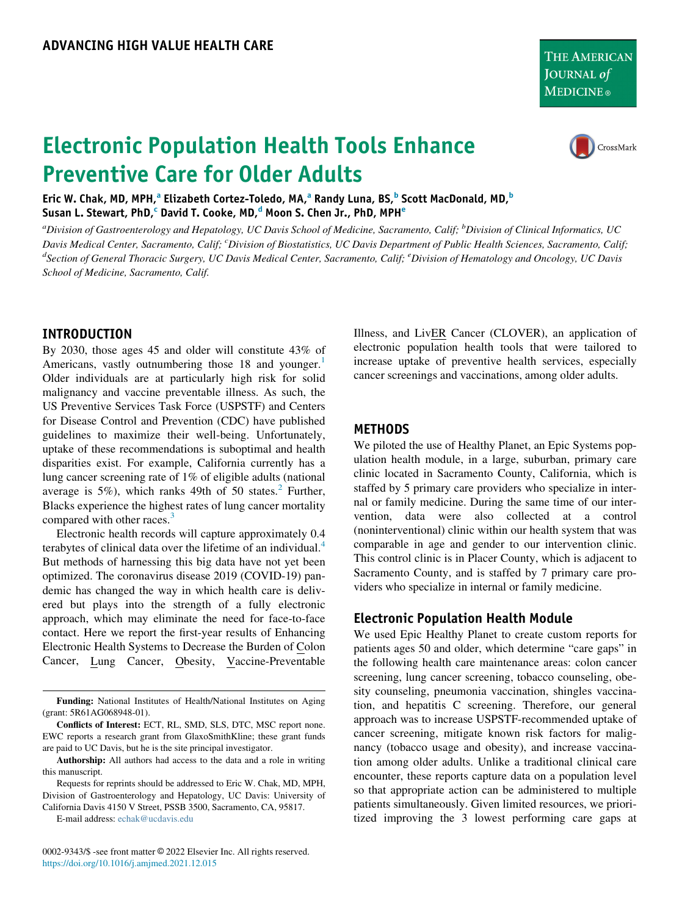THE AMERICAN JOURNAL of **MEDICINE**®

# Electronic Population Health Tools Enhance Preventive Care for Older Adults



Eric W. Ch[a](#page-0-0)k, MD, MPH,<sup>a</sup> Eliza[b](#page-0-0)eth Cortez-Toledo, MA,<sup>a</sup> Randy Luna, BS,<sup>b</sup> Scott MacDonald, MD,<sup>b</sup> Susan L. St[e](#page-0-2)wart, PhD, $^{\rm c}$  $^{\rm c}$  $^{\rm c}$  Davi[d](#page-0-1) T. Cooke, MD, $^{\rm d}$  Moon S. Chen Jr., PhD, MPH $^{\rm e}$ 

<span id="page-0-2"></span><span id="page-0-1"></span><span id="page-0-0"></span><sup>a</sup>Division of Gastroenterology and Hepatology, UC Davis School of Medicine, Sacramento, Calif; <sup>b</sup>Division of Clinical Informatics, UC Davis Medical Center, Sacramento, Calif; <sup>c</sup>Division of Biostatistics, UC Davis Department of Public Health Sciences, Sacramento, Calif; <sup>d</sup>Section of General Thoracic Surgery, UC Davis Medical Center, Sacramento, Calif; <sup>e</sup>Division of Hematology and Oncology, UC Davis School of Medicine, Sacramento, Calif.

## INTRODUCTION

By 2030, those ages 45 and older will constitute 43% of Americans, vastly outnumbering those 18 and younger.<sup>1</sup> Older individuals are at particularly high risk for solid malignancy and vaccine preventable illness. As such, the US Preventive Services Task Force (USPSTF) and Centers for Disease Control and Prevention (CDC) have published guidelines to maximize their well-being. Unfortunately, uptake of these recommendations is suboptimal and health disparities exist. For example, California currently has a lung cancer screening rate of 1% of eligible adults (national average is  $5\%$ ), which ranks 49th of 50 states.<sup>[2](#page-3-1)</sup> Further, Blacks experience the highest rates of lung cancer mortality compared with other races.<sup>[3](#page-3-2)</sup>

Electronic health records will capture approximately 0.4 terabytes of clinical data over the lifetime of an individual.<sup>[4](#page-3-3)</sup> But methods of harnessing this big data have not yet been optimized. The coronavirus disease 2019 (COVID-19) pandemic has changed the way in which health care is delivered but plays into the strength of a fully electronic approach, which may eliminate the need for face-to-face contact. Here we report the first-year results of Enhancing Electronic Health Systems to Decrease the Burden of Colon Cancer, Lung Cancer, Obesity, Vaccine-Preventable

E-mail address: [echak@ucdavis.edu](mailto:echak@ucdavis.edu)

0002-9343/\$ -see front matter © 2022 Elsevier Inc. All rights reserved. <https://doi.org/10.1016/j.amjmed.2021.12.015>

Illness, and LivER Cancer (CLOVER), an application of electronic population health tools that were tailored to increase uptake of preventive health services, especially cancer screenings and vaccinations, among older adults.

### METHODS

We piloted the use of Healthy Planet, an Epic Systems population health module, in a large, suburban, primary care clinic located in Sacramento County, California, which is staffed by 5 primary care providers who specialize in internal or family medicine. During the same time of our intervention, data were also collected at a control (noninterventional) clinic within our health system that was comparable in age and gender to our intervention clinic. This control clinic is in Placer County, which is adjacent to Sacramento County, and is staffed by 7 primary care providers who specialize in internal or family medicine.

## Electronic Population Health Module

We used Epic Healthy Planet to create custom reports for patients ages 50 and older, which determine "care gaps" in the following health care maintenance areas: colon cancer screening, lung cancer screening, tobacco counseling, obesity counseling, pneumonia vaccination, shingles vaccination, and hepatitis C screening. Therefore, our general approach was to increase USPSTF-recommended uptake of cancer screening, mitigate known risk factors for malignancy (tobacco usage and obesity), and increase vaccination among older adults. Unlike a traditional clinical care encounter, these reports capture data on a population level so that appropriate action can be administered to multiple patients simultaneously. Given limited resources, we prioritized improving the 3 lowest performing care gaps at

Funding: National Institutes of Health/National Institutes on Aging (grant: 5R61AG068948-01).

Conflicts of Interest: ECT, RL, SMD, SLS, DTC, MSC report none. EWC reports a research grant from GlaxoSmithKline; these grant funds are paid to UC Davis, but he is the site principal investigator.

Authorship: All authors had access to the data and a role in writing this manuscript.

Requests for reprints should be addressed to Eric W. Chak, MD, MPH, Division of Gastroenterology and Hepatology, UC Davis: University of California Davis 4150 V Street, PSSB 3500, Sacramento, CA, 95817.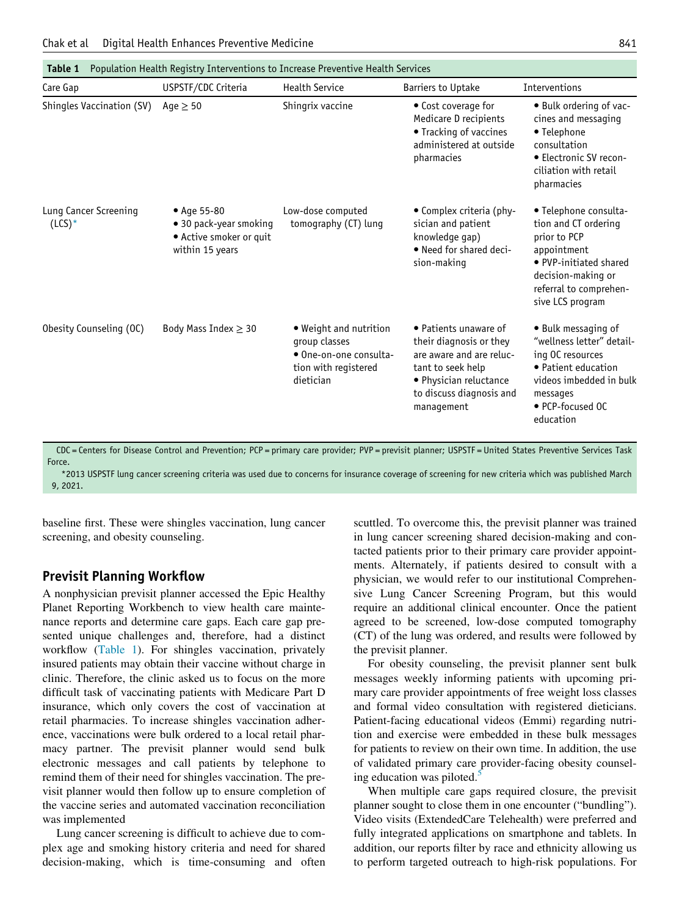<span id="page-1-0"></span>

| Care Gap                          | USPSTF/CDC Criteria                                                                 | <b>Health Service</b>                                                                                  | <b>Barriers to Uptake</b>                                                                                                                                             | Interventions                                                                                                                                                              |
|-----------------------------------|-------------------------------------------------------------------------------------|--------------------------------------------------------------------------------------------------------|-----------------------------------------------------------------------------------------------------------------------------------------------------------------------|----------------------------------------------------------------------------------------------------------------------------------------------------------------------------|
| Shingles Vaccination (SV)         | Age $\geq$ 50                                                                       | Shingrix vaccine                                                                                       | • Cost coverage for<br>Medicare D recipients<br>• Tracking of vaccines<br>administered at outside<br>pharmacies                                                       | • Bulk ordering of vac-<br>cines and messaging<br>• Telephone<br>consultation<br>• Electronic SV recon-<br>ciliation with retail<br>pharmacies                             |
| Lung Cancer Screening<br>$(LCS)*$ | • Age 55-80<br>• 30 pack-year smoking<br>• Active smoker or quit<br>within 15 years | Low-dose computed<br>tomography (CT) lung                                                              | • Complex criteria (phy-<br>sician and patient<br>knowledge gap)<br>. Need for shared deci-<br>sion-making                                                            | • Telephone consulta-<br>tion and CT ordering<br>prior to PCP<br>appointment<br>• PVP-initiated shared<br>decision-making or<br>referral to comprehen-<br>sive LCS program |
| Obesity Counseling (OC)           | Body Mass Index $\geq$ 30                                                           | • Weight and nutrition<br>group classes<br>• One-on-one consulta-<br>tion with registered<br>dietician | • Patients unaware of<br>their diagnosis or they<br>are aware and are reluc-<br>tant to seek help<br>· Physician reluctance<br>to discuss diagnosis and<br>management | • Bulk messaging of<br>"wellness letter" detail-<br>ing OC resources<br>• Patient education<br>videos imbedded in bulk<br>messages<br>• PCP-focused OC<br>education        |

CDC = Centers for Disease Control and Prevention; PCP = primary care provider; PVP = previsit planner; USPSTF = United States Preventive Services Task Force.

<span id="page-1-1"></span>\*2013 USPSTF lung cancer screening criteria was used due to concerns for insurance coverage of screening for new criteria which was published March 9, 2021.

baseline first. These were shingles vaccination, lung cancer screening, and obesity counseling.

#### Previsit Planning Workflow

A nonphysician previsit planner accessed the Epic Healthy Planet Reporting Workbench to view health care maintenance reports and determine care gaps. Each care gap presented unique challenges and, therefore, had a distinct workflow ([Table 1](#page-1-0)). For shingles vaccination, privately insured patients may obtain their vaccine without charge in clinic. Therefore, the clinic asked us to focus on the more difficult task of vaccinating patients with Medicare Part D insurance, which only covers the cost of vaccination at retail pharmacies. To increase shingles vaccination adherence, vaccinations were bulk ordered to a local retail pharmacy partner. The previsit planner would send bulk electronic messages and call patients by telephone to remind them of their need for shingles vaccination. The previsit planner would then follow up to ensure completion of the vaccine series and automated vaccination reconciliation was implemented

Lung cancer screening is difficult to achieve due to complex age and smoking history criteria and need for shared decision-making, which is time-consuming and often

scuttled. To overcome this, the previsit planner was trained in lung cancer screening shared decision-making and contacted patients prior to their primary care provider appointments. Alternately, if patients desired to consult with a physician, we would refer to our institutional Comprehensive Lung Cancer Screening Program, but this would require an additional clinical encounter. Once the patient agreed to be screened, low-dose computed tomography (CT) of the lung was ordered, and results were followed by the previsit planner.

For obesity counseling, the previsit planner sent bulk messages weekly informing patients with upcoming primary care provider appointments of free weight loss classes and formal video consultation with registered dieticians. Patient-facing educational videos (Emmi) regarding nutrition and exercise were embedded in these bulk messages for patients to review on their own time. In addition, the use of validated primary care provider-facing obesity counseling education was piloted.<sup>5</sup>

When multiple care gaps required closure, the previsit planner sought to close them in one encounter ("bundling"). Video visits (ExtendedCare Telehealth) were preferred and fully integrated applications on smartphone and tablets. In addition, our reports filter by race and ethnicity allowing us to perform targeted outreach to high-risk populations. For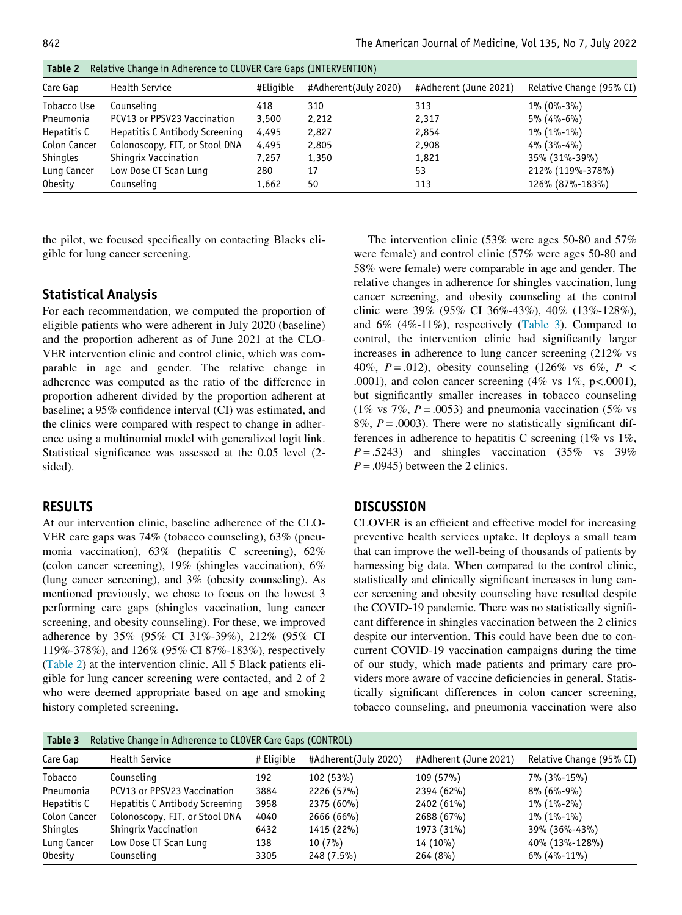<span id="page-2-0"></span>

| Table 2<br>Relative Change in Adherence to CLOVER Care Gaps (INTERVENTION) |                                |           |                      |                       |                          |  |  |  |
|----------------------------------------------------------------------------|--------------------------------|-----------|----------------------|-----------------------|--------------------------|--|--|--|
| Care Gap                                                                   | <b>Health Service</b>          | #Eligible | #Adherent(July 2020) | #Adherent (June 2021) | Relative Change (95% CI) |  |  |  |
| Tobacco Use                                                                | Counseling                     | 418       | 310                  | 313                   | $1\%$ (0%-3%)            |  |  |  |
| Pneumonia                                                                  | PCV13 or PPSV23 Vaccination    | 3,500     | 2,212                | 2,317                 | $5\%$ (4%-6%)            |  |  |  |
| Hepatitis C                                                                | Hepatitis C Antibody Screening | 4,495     | 2,827                | 2,854                 | $1\%$ (1%-1%)            |  |  |  |
| Colon Cancer                                                               | Colonoscopy, FIT, or Stool DNA | 4,495     | 2,805                | 2,908                 | $4\%$ (3%-4%)            |  |  |  |
| <b>Shingles</b>                                                            | Shingrix Vaccination           | 7.257     | 1,350                | 1,821                 | 35% (31%-39%)            |  |  |  |
| Lung Cancer                                                                | Low Dose CT Scan Lung          | 280       | 17                   | 53                    | 212% (119%-378%)         |  |  |  |
| <b>Obesity</b>                                                             | Counseling                     | 1,662     | 50                   | 113                   | 126% (87%-183%)          |  |  |  |

the pilot, we focused specifically on contacting Blacks eligible for lung cancer screening.

## Statistical Analysis

For each recommendation, we computed the proportion of eligible patients who were adherent in July 2020 (baseline) and the proportion adherent as of June 2021 at the CLO-VER intervention clinic and control clinic, which was comparable in age and gender. The relative change in adherence was computed as the ratio of the difference in proportion adherent divided by the proportion adherent at baseline; a 95% confidence interval (CI) was estimated, and the clinics were compared with respect to change in adherence using a multinomial model with generalized logit link. Statistical significance was assessed at the 0.05 level (2 sided).

## RESULTS

At our intervention clinic, baseline adherence of the CLO-VER care gaps was 74% (tobacco counseling), 63% (pneumonia vaccination), 63% (hepatitis C screening), 62% (colon cancer screening), 19% (shingles vaccination), 6% (lung cancer screening), and 3% (obesity counseling). As mentioned previously, we chose to focus on the lowest 3 performing care gaps (shingles vaccination, lung cancer screening, and obesity counseling). For these, we improved adherence by 35% (95% CI 31%-39%), 212% (95% CI 119%-378%), and 126% (95% CI 87%-183%), respectively [\(Table 2\)](#page-2-0) at the intervention clinic. All 5 Black patients eligible for lung cancer screening were contacted, and 2 of 2 who were deemed appropriate based on age and smoking history completed screening.

The intervention clinic (53% were ages 50-80 and 57% were female) and control clinic (57% were ages 50-80 and 58% were female) were comparable in age and gender. The relative changes in adherence for shingles vaccination, lung cancer screening, and obesity counseling at the control clinic were 39% (95% CI 36%-43%), 40% (13%-128%), and 6% (4%-11%), respectively ([Table 3](#page-2-1)). Compared to control, the intervention clinic had significantly larger increases in adherence to lung cancer screening (212% vs 40%,  $P = .012$ ), obesity counseling (126% vs 6%,  $P <$ .0001), and colon cancer screening  $(4\% \text{ vs } 1\%, \text{ p} < .0001)$ , but significantly smaller increases in tobacco counseling (1% vs 7%,  $P = .0053$ ) and pneumonia vaccination (5% vs 8%,  $P = .0003$ ). There were no statistically significant differences in adherence to hepatitis C screening (1% vs 1%,  $P = .5243$ ) and shingles vaccination (35% vs 39%)  $P = .0945$ ) between the 2 clinics.

#### **DISCUSSION**

CLOVER is an efficient and effective model for increasing preventive health services uptake. It deploys a small team that can improve the well-being of thousands of patients by harnessing big data. When compared to the control clinic, statistically and clinically significant increases in lung cancer screening and obesity counseling have resulted despite the COVID-19 pandemic. There was no statistically significant difference in shingles vaccination between the 2 clinics despite our intervention. This could have been due to concurrent COVID-19 vaccination campaigns during the time of our study, which made patients and primary care providers more aware of vaccine deficiencies in general. Statistically significant differences in colon cancer screening, tobacco counseling, and pneumonia vaccination were also

<span id="page-2-1"></span>

| Relative Change in Adherence to CLOVER Care Gaps (CONTROL)<br>Table 3 |                                |            |                      |                       |                          |  |  |  |
|-----------------------------------------------------------------------|--------------------------------|------------|----------------------|-----------------------|--------------------------|--|--|--|
| Care Gap                                                              | <b>Health Service</b>          | # Eligible | #Adherent(July 2020) | #Adherent (June 2021) | Relative Change (95% CI) |  |  |  |
| Tobacco                                                               | Counseling                     | 192        | 102 (53%)            | 109 (57%)             | 7% (3%-15%)              |  |  |  |
| Pneumonia                                                             | PCV13 or PPSV23 Vaccination    | 3884       | 2226 (57%)           | 2394 (62%)            | $8\%$ (6%-9%)            |  |  |  |
| Hepatitis C                                                           | Hepatitis C Antibody Screening | 3958       | 2375 (60%)           | 2402 (61%)            | $1\%$ (1%-2%)            |  |  |  |
| Colon Cancer                                                          | Colonoscopy, FIT, or Stool DNA | 4040       | 2666 (66%)           | 2688 (67%)            | $1\%$ (1%-1%)            |  |  |  |
| <b>Shingles</b>                                                       | Shingrix Vaccination           | 6432       | 1415 (22%)           | 1973 (31%)            | 39% (36%-43%)            |  |  |  |
| Lung Cancer                                                           | Low Dose CT Scan Lung          | 138        | $10(7\%)$            | 14 (10%)              | 40% (13%-128%)           |  |  |  |
| <b>Obesity</b>                                                        | Counseling                     | 3305       | $248(7.5\%)$         | 264(8%)               | $6\%$ (4%-11%)           |  |  |  |